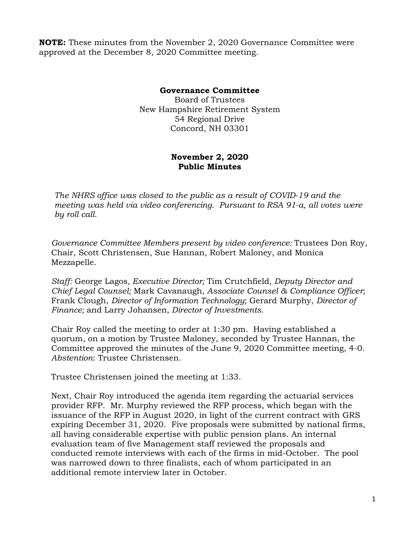**NOTE:** These minutes from the November 2, 2020 Governance Committee were approved at the December 8, 2020 Committee meeting.

## **Governance Committee**

Board of Trustees New Hampshire Retirement System 54 Regional Drive Concord, NH 03301

## **November 2, 2020 Public Minutes**

*The NHRS office was closed to the public as a result of COVID-19 and the meeting was held via video conferencing. Pursuant to RSA 91-a, all votes were by roll call.*

*Governance Committee Members present by video conference:* Trustees Don Roy, Chair, Scott Christensen, Sue Hannan, Robert Maloney, and Monica Mezzapelle.

*Staff:* George Lagos*, Executive Director;* Tim Crutchfield*, Deputy Director and Chief Legal Counsel;* Mark Cavanaugh*, Associate Counsel & Compliance Officer*; Frank Clough, *Director of Information Technology*; Gerard Murphy, *Director of Finance;* and Larry Johansen*, Director of Investments.* 

Chair Roy called the meeting to order at 1:30 pm. Having established a quorum, on a motion by Trustee Maloney, seconded by Trustee Hannan, the Committee approved the minutes of the June 9, 2020 Committee meeting, 4-0. *Abstention*: Trustee Christensen.

Trustee Christensen joined the meeting at 1:33.

Next, Chair Roy introduced the agenda item regarding the actuarial services provider RFP. Mr. Murphy reviewed the RFP process, which began with the issuance of the RFP in August 2020, in light of the current contract with GRS expiring December 31, 2020. Five proposals were submitted by national firms, all having considerable expertise with public pension plans. An internal evaluation team of five Management staff reviewed the proposals and conducted remote interviews with each of the firms in mid-October. The pool was narrowed down to three finalists, each of whom participated in an additional remote interview later in October.